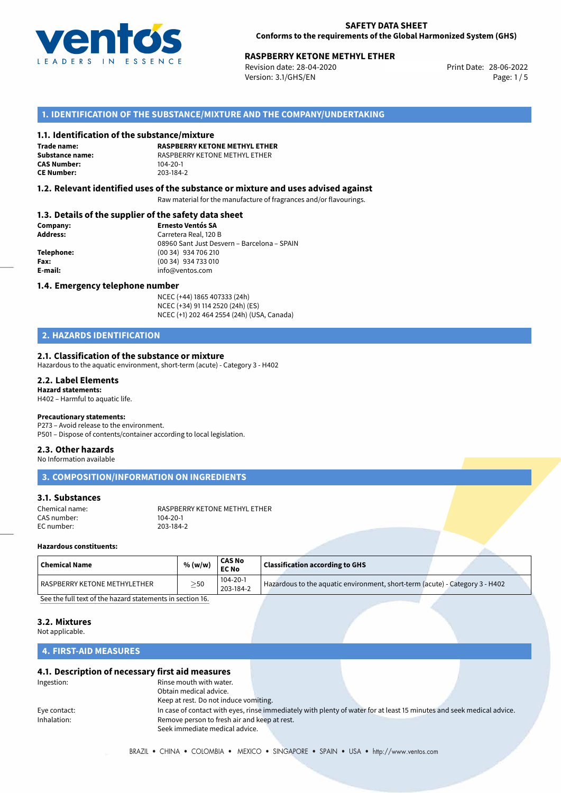

# **RASPBERRY KETONE METHYL ETHER**<br>
Revision date: 28-04-2020<br>
Print Date: 28-06-2022

Revision date: 28-04-2020 Version: 3.1/GHS/EN Page: 1 / 5

## **1. IDENTIFICATION OF THE SUBSTANCE/MIXTURE AND THE COMPANY/UNDERTAKING**

#### **1.1. Identification of the substance/mixture**

**Trade name: CAS Number: CE Number:** 203-184-2

**RASPBERRY KETONE METHYL ETHER Substance name:** RASPBERRY KETONE METHYL ETHER

#### **1.2. Relevant identified uses of the substance or mixture and uses advised against**

Raw material for the manufacture of fragrances and/or flavourings.

#### **1.3. Details of the supplier of the safety data sheet**

| Company:   | <b>Ernesto Ventós SA</b>                    |
|------------|---------------------------------------------|
| Address:   | Carretera Real, 120 B                       |
|            | 08960 Sant Just Desvern - Barcelona - SPAIN |
| Telephone: | (00 34) 934 706 210                         |
| Fax:       | (00 34) 934 733 010                         |
| E-mail:    | info@ventos.com                             |
|            |                                             |

#### **1.4. Emergency telephone number**

NCEC (+44) 1865 407333 (24h) NCEC (+34) 91 114 2520 (24h) (ES) NCEC (+1) 202 464 2554 (24h) (USA, Canada)

## **2. HAZARDS IDENTIFICATION**

#### **2.1. Classification of the substance or mixture**

Hazardous to the aquatic environment, short-term (acute) - Category 3 - H402

#### **2.2. Label Elements Hazard statements:**

H402 – Harmful to aquatic life.

#### **Precautionary statements:**

P273 – Avoid release to the environment.

### P501 – Dispose of contents/container according to local legislation.

## **2.3. Other hazards**

No Information available

**3. COMPOSITION/INFORMATION ON INGREDIENTS**

## **3.1. Substances**

| Chemical name: | RASPBERRY KETONE METHYL ETHER |
|----------------|-------------------------------|
| CAS number:    | 104-20-1                      |
| EC number:     | 203-184-2                     |

#### **Hazardous constituents:**

| 104-20-1                                                                                                                              | <b>Chemical Name</b> |  |
|---------------------------------------------------------------------------------------------------------------------------------------|----------------------|--|
| Hazardous to the aquatic environment, short-term (acute) - Category 3 - H402<br>l RASPBERRY KETONE METHYLETHER<br>$>$ 50<br>203-184-2 |                      |  |

[See the full text of the hazard statements in section 16.](#page--1-0)

#### **3.2. Mixtures**

Not applicable.

## **4. FIRST-AID MEASURES**

#### **4.1. Description of necessary first aid measures**

| Ingestion:   | Rinse mouth with water.                      |                                                                                                                       |  |
|--------------|----------------------------------------------|-----------------------------------------------------------------------------------------------------------------------|--|
|              | Obtain medical advice.                       |                                                                                                                       |  |
|              | Keep at rest. Do not induce vomiting.        |                                                                                                                       |  |
| Eye contact: |                                              | In case of contact with eyes, rinse immediately with plenty of water for at least 15 minutes and seek medical advice. |  |
| Inhalation:  | Remove person to fresh air and keep at rest. |                                                                                                                       |  |
|              | Seek immediate medical advice.               |                                                                                                                       |  |
|              |                                              |                                                                                                                       |  |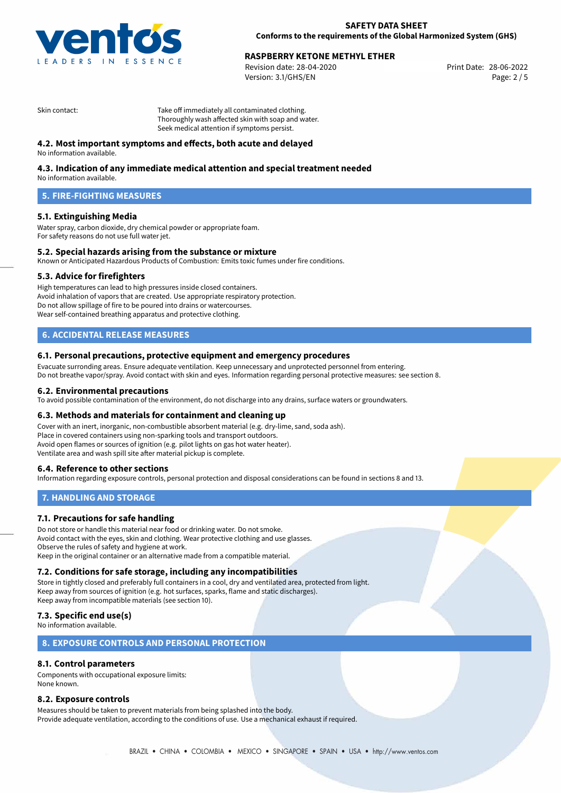

# **RASPBERRY KETONE METHYL ETHER**<br>
Revision date: 28-04-2020<br>
Print Date: 28-06-2022

Revision date: 28-04-2020 Version: 3.1/GHS/EN Page: 2 / 5

Skin contact: Take off immediately all contaminated clothing. Thoroughly wash affected skin with soap and water. Seek medical attention if symptoms persist.

## **4.2. Most important symptoms and effects, both acute and delayed**

No information available.

## **4.3. Indication of any immediate medical attention and special treatment needed**

No information available.

## **5. FIRE-FIGHTING MEASURES**

#### **5.1. Extinguishing Media**

Water spray, carbon dioxide, dry chemical powder or appropriate foam. For safety reasons do not use full water jet.

#### **5.2. Special hazards arising from the substance or mixture**

Known or Anticipated Hazardous Products of Combustion: Emits toxic fumes under fire conditions.

#### **5.3. Advice for firefighters**

High temperatures can lead to high pressures inside closed containers. Avoid inhalation of vapors that are created. Use appropriate respiratory protection. Do not allow spillage of fire to be poured into drains or watercourses. Wear self-contained breathing apparatus and protective clothing.

## **6. ACCIDENTAL RELEASE MEASURES**

#### **6.1. Personal precautions, protective equipment and emergency procedures**

Evacuate surronding areas. Ensure adequate ventilation. Keep unnecessary and unprotected personnel from entering. Do not breathe vapor/spray. Avoid contact with skin and eyes. Information regarding personal protective measures: see section 8.

#### **6.2. Environmental precautions**

To avoid possible contamination of the environment, do not discharge into any drains, surface waters or groundwaters.

#### **6.3. Methods and materials for containment and cleaning up**

Cover with an inert, inorganic, non-combustible absorbent material (e.g. dry-lime, sand, soda ash). Place in covered containers using non-sparking tools and transport outdoors. Avoid open flames or sources of ignition (e.g. pilot lights on gas hot water heater). Ventilate area and wash spill site after material pickup is complete.

#### **6.4. Reference to other sections**

Information regarding exposure controls, personal protection and disposal considerations can be found in sections 8 and 13.

#### **7. HANDLING AND STORAGE**

#### **7.1. Precautions for safe handling**

Do not store or handle this material near food or drinking water. Do not smoke. Avoid contact with the eyes, skin and clothing. Wear protective clothing and use glasses. Observe the rules of safety and hygiene at work. Keep in the original container or an alternative made from a compatible material.

#### **7.2. Conditions for safe storage, including any incompatibilities**

Store in tightly closed and preferably full containers in a cool, dry and ventilated area, protected from light. Keep away from sources of ignition (e.g. hot surfaces, sparks, flame and static discharges). Keep away from incompatible materials (see section 10).

### **7.3. Specific end use(s)**

No information available.

#### **8. EXPOSURE CONTROLS AND PERSONAL PROTECTION**

#### **8.1. Control parameters**

Components with occupational exposure limits: None known.

#### **8.2. Exposure controls**

Measures should be taken to prevent materials from being splashed into the body. Provide adequate ventilation, according to the conditions of use. Use a mechanical exhaust if required.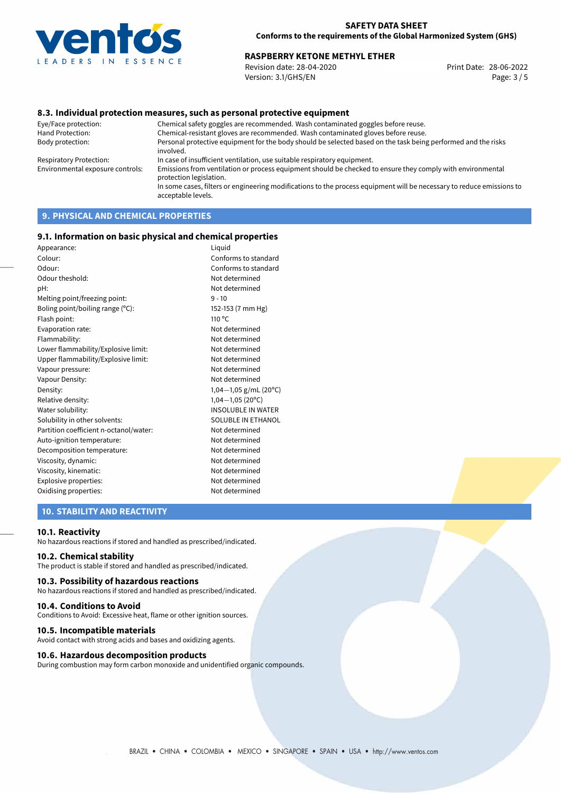

# **RASPBERRY KETONE METHYL ETHER**<br>
Revision date: 28-04-2020<br>
Print Date: 28-06-2022

Revision date: 28-04-2020 Version: 3.1/GHS/EN Page: 3 / 5

### **8.3. Individual protection measures, such as personal protective equipment**

Eye/Face protection: Chemical safety goggles are recommended. Wash contaminated goggles before reuse. Chemical-resistant gloves are recommended. Wash contaminated gloves before reuse. Body protection: Personal protective equipment for the body should be selected based on the task being performed and the risks involved. Respiratory Protection: In case of insufficient ventilation, use suitable respiratory equipment. Environmental exposure controls: Emissions from ventilation or process equipment should be checked to ensure they comply with environmental protection legislation. In some cases, filters or engineering modifications to the process equipment will be necessary to reduce emissions to acceptable levels.

## **9. PHYSICAL AND CHEMICAL PROPERTIES**

#### **9.1. Information on basic physical and chemical properties**

| Appearance:                            | Liquid                    |
|----------------------------------------|---------------------------|
| Colour:                                | Conforms to standard      |
| Odour:                                 | Conforms to standard      |
| Odour theshold:                        | Not determined            |
| pH:                                    | Not determined            |
| Melting point/freezing point:          | $9 - 10$                  |
| Boling point/boiling range (°C):       | 152-153 (7 mm Hg)         |
| Flash point:                           | $110^{\circ}$ C           |
| Evaporation rate:                      | Not determined            |
| Flammability:                          | Not determined            |
| Lower flammability/Explosive limit:    | Not determined            |
| Upper flammability/Explosive limit:    | Not determined            |
| Vapour pressure:                       | Not determined            |
| Vapour Density:                        | Not determined            |
| Density:                               | 1,04 $-1$ ,05 g/mL (20°C) |
| Relative density:                      | $1,04-1,05(20^{\circ}C)$  |
| Water solubility:                      | <b>INSOLUBLE IN WATER</b> |
| Solubility in other solvents:          | SOLUBLE IN ETHANOL        |
| Partition coefficient n-octanol/water: | Not determined            |
| Auto-ignition temperature:             | Not determined            |
| Decomposition temperature:             | Not determined            |
| Viscosity, dynamic:                    | Not determined            |
| Viscosity, kinematic:                  | Not determined            |
| Explosive properties:                  | Not determined            |
| Oxidising properties:                  | Not determined            |
|                                        |                           |

## **10. STABILITY AND REACTIVITY**

#### **10.1. Reactivity**

No hazardous reactions if stored and handled as prescribed/indicated.

#### **10.2. Chemical stability**

The product is stable if stored and handled as prescribed/indicated.

#### **10.3. Possibility of hazardous reactions**

No hazardous reactions if stored and handled as prescribed/indicated.

#### **10.4. Conditions to Avoid**

Conditions to Avoid: Excessive heat, flame or other ignition sources.

#### **10.5. Incompatible materials**

Avoid contact with strong acids and bases and oxidizing agents.

#### **10.6. Hazardous decomposition products**

During combustion may form carbon monoxide and unidentified organic compounds.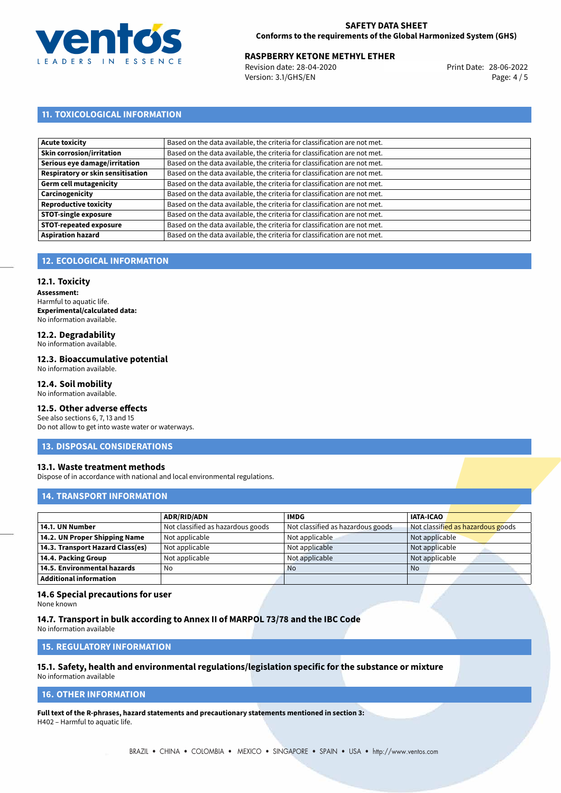

# **RASPBERRY KETONE METHYL ETHER**<br>28-06-2022 **Revision date: 28-04-2020 Revision date: 28-06-2022**

Revision date: 28-04-2020 Version: 3.1/GHS/EN Page: 4 / 5

## **11. TOXICOLOGICAL INFORMATION**

| Acute toxicity                    | Based on the data available, the criteria for classification are not met. |
|-----------------------------------|---------------------------------------------------------------------------|
| Skin corrosion/irritation         | Based on the data available, the criteria for classification are not met. |
| Serious eye damage/irritation     | Based on the data available, the criteria for classification are not met. |
| Respiratory or skin sensitisation | Based on the data available, the criteria for classification are not met. |
| Germ cell mutagenicity            | Based on the data available, the criteria for classification are not met. |
| <b>Carcinogenicity</b>            | Based on the data available, the criteria for classification are not met. |
| Reproductive toxicity             | Based on the data available, the criteria for classification are not met. |
| <b>STOT-single exposure</b>       | Based on the data available, the criteria for classification are not met. |
| <b>STOT-repeated exposure</b>     | Based on the data available, the criteria for classification are not met. |
| <b>Aspiration hazard</b>          | Based on the data available, the criteria for classification are not met. |

## **12. ECOLOGICAL INFORMATION**

#### **12.1. Toxicity**

**Assessment:** Harmful to aquatic life. **Experimental/calculated data:** No information available.

## **12.2. Degradability**

No information available.

## **12.3. Bioaccumulative potential**

No information available.

## **12.4. Soil mobility**

No information available.

## **12.5. Other adverse effects**

See also sections 6, 7, 13 and 15 Do not allow to get into waste water or waterways.

#### **13. DISPOSAL CONSIDERATIONS**

#### **13.1. Waste treatment methods**

Dispose of in accordance with national and local environmental regulations.

## **14. TRANSPORT INFORMATION**

|                                  | <b>ADR/RID/ADN</b>                | <b>IMDG</b>                       | <b>IATA-ICAO</b>                  |
|----------------------------------|-----------------------------------|-----------------------------------|-----------------------------------|
| 14.1. UN Number                  | Not classified as hazardous goods | Not classified as hazardous goods | Not classified as hazardous goods |
| 14.2. UN Proper Shipping Name    | Not applicable                    | Not applicable                    | Not applicable                    |
| 14.3. Transport Hazard Class(es) | Not applicable                    | Not applicable                    | Not applicable                    |
| 14.4. Packing Group              | Not applicable                    | Not applicable                    | Not applicable                    |
| 14.5. Environmental hazards      | No                                | <b>No</b>                         | No                                |
| <b>Additional information</b>    |                                   |                                   |                                   |

#### **14.6 Special precautions for user**

None known

#### **14.7. Transport in bulk according to Annex II of MARPOL 73/78 and the IBC Code**

No information available

## **15. REGULATORY INFORMATION**

## **15.1. Safety, health and environmental regulations/legislation specific for the substance or mixture**

No information available

## **16. OTHER INFORMATION**

**Full text of the R-phrases, hazard statements and precautionary statements mentioned in section 3:** H402 – Harmful to aquatic life.